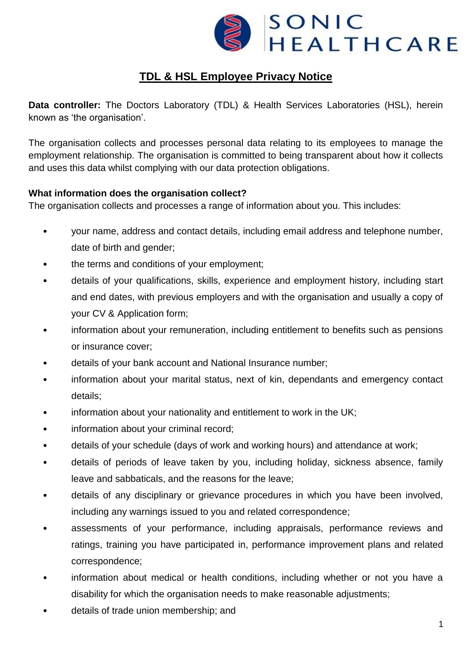

# **TDL & HSL Employee Privacy Notice**

**Data controller:** The Doctors Laboratory (TDL) & Health Services Laboratories (HSL), herein known as 'the organisation'.

The organisation collects and processes personal data relating to its employees to manage the employment relationship. The organisation is committed to being transparent about how it collects and uses this data whilst complying with our data protection obligations.

## **What information does the organisation collect?**

The organisation collects and processes a range of information about you. This includes:

- your name, address and contact details, including email address and telephone number, date of birth and gender;
- the terms and conditions of your employment;
- details of your qualifications, skills, experience and employment history, including start and end dates, with previous employers and with the organisation and usually a copy of your CV & Application form;
- information about your remuneration, including entitlement to benefits such as pensions or insurance cover;
- details of your bank account and National Insurance number;
- information about your marital status, next of kin, dependants and emergency contact details;
- information about your nationality and entitlement to work in the UK;
- information about your criminal record;
- details of your schedule (days of work and working hours) and attendance at work;
- details of periods of leave taken by you, including holiday, sickness absence, family leave and sabbaticals, and the reasons for the leave;
- details of any disciplinary or grievance procedures in which you have been involved, including any warnings issued to you and related correspondence;
- assessments of your performance, including appraisals, performance reviews and ratings, training you have participated in, performance improvement plans and related correspondence;
- information about medical or health conditions, including whether or not you have a disability for which the organisation needs to make reasonable adjustments;
- details of trade union membership; and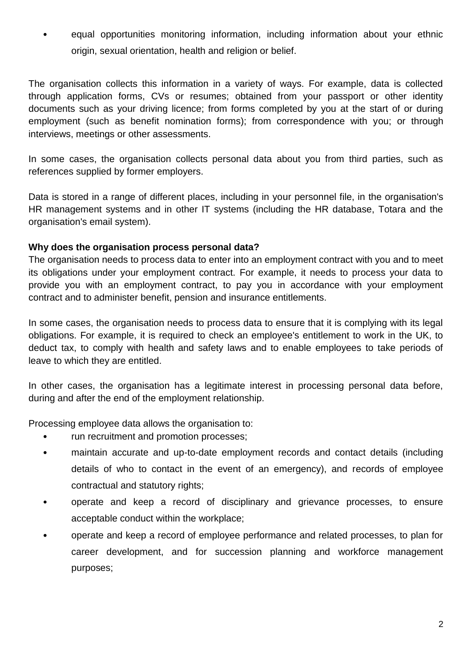• equal opportunities monitoring information, including information about your ethnic origin, sexual orientation, health and religion or belief.

The organisation collects this information in a variety of ways. For example, data is collected through application forms, CVs or resumes; obtained from your passport or other identity documents such as your driving licence; from forms completed by you at the start of or during employment (such as benefit nomination forms); from correspondence with you; or through interviews, meetings or other assessments.

In some cases, the organisation collects personal data about you from third parties, such as references supplied by former employers.

Data is stored in a range of different places, including in your personnel file, in the organisation's HR management systems and in other IT systems (including the HR database, Totara and the organisation's email system).

## **Why does the organisation process personal data?**

The organisation needs to process data to enter into an employment contract with you and to meet its obligations under your employment contract. For example, it needs to process your data to provide you with an employment contract, to pay you in accordance with your employment contract and to administer benefit, pension and insurance entitlements.

In some cases, the organisation needs to process data to ensure that it is complying with its legal obligations. For example, it is required to check an employee's entitlement to work in the UK, to deduct tax, to comply with health and safety laws and to enable employees to take periods of leave to which they are entitled.

In other cases, the organisation has a legitimate interest in processing personal data before, during and after the end of the employment relationship.

Processing employee data allows the organisation to:

- run recruitment and promotion processes;
- maintain accurate and up-to-date employment records and contact details (including details of who to contact in the event of an emergency), and records of employee contractual and statutory rights;
- operate and keep a record of disciplinary and grievance processes, to ensure acceptable conduct within the workplace;
- operate and keep a record of employee performance and related processes, to plan for career development, and for succession planning and workforce management purposes;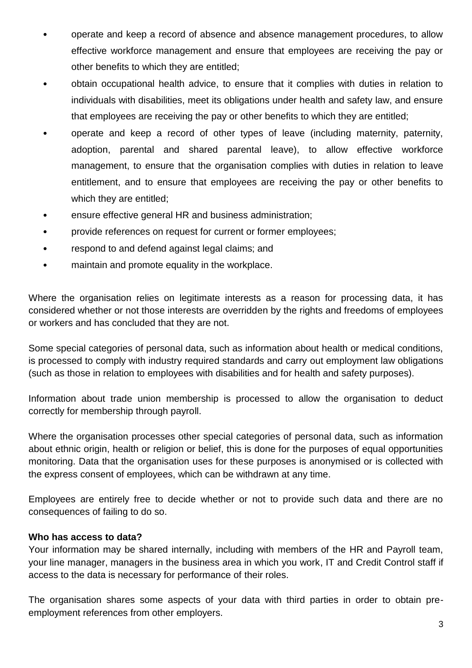- operate and keep a record of absence and absence management procedures, to allow effective workforce management and ensure that employees are receiving the pay or other benefits to which they are entitled;
- obtain occupational health advice, to ensure that it complies with duties in relation to individuals with disabilities, meet its obligations under health and safety law, and ensure that employees are receiving the pay or other benefits to which they are entitled;
- operate and keep a record of other types of leave (including maternity, paternity, adoption, parental and shared parental leave), to allow effective workforce management, to ensure that the organisation complies with duties in relation to leave entitlement, and to ensure that employees are receiving the pay or other benefits to which they are entitled;
- ensure effective general HR and business administration;
- provide references on request for current or former employees;
- respond to and defend against legal claims; and
- maintain and promote equality in the workplace.

Where the organisation relies on legitimate interests as a reason for processing data, it has considered whether or not those interests are overridden by the rights and freedoms of employees or workers and has concluded that they are not.

Some special categories of personal data, such as information about health or medical conditions, is processed to comply with industry required standards and carry out employment law obligations (such as those in relation to employees with disabilities and for health and safety purposes).

Information about trade union membership is processed to allow the organisation to deduct correctly for membership through payroll.

Where the organisation processes other special categories of personal data, such as information about ethnic origin, health or religion or belief, this is done for the purposes of equal opportunities monitoring. Data that the organisation uses for these purposes is anonymised or is collected with the express consent of employees, which can be withdrawn at any time.

Employees are entirely free to decide whether or not to provide such data and there are no consequences of failing to do so.

#### **Who has access to data?**

Your information may be shared internally, including with members of the HR and Payroll team, your line manager, managers in the business area in which you work, IT and Credit Control staff if access to the data is necessary for performance of their roles.

The organisation shares some aspects of your data with third parties in order to obtain preemployment references from other employers.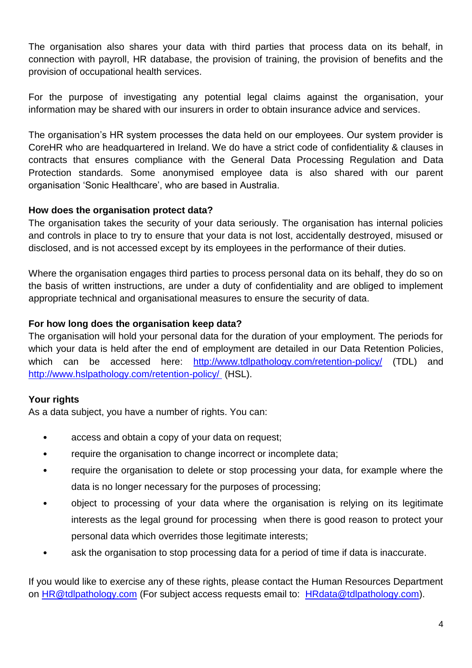The organisation also shares your data with third parties that process data on its behalf, in connection with payroll, HR database, the provision of training, the provision of benefits and the provision of occupational health services.

For the purpose of investigating any potential legal claims against the organisation, your information may be shared with our insurers in order to obtain insurance advice and services.

The organisation's HR system processes the data held on our employees. Our system provider is CoreHR who are headquartered in Ireland. We do have a strict code of confidentiality & clauses in contracts that ensures compliance with the General Data Processing Regulation and Data Protection standards. Some anonymised employee data is also shared with our parent organisation 'Sonic Healthcare', who are based in Australia.

# **How does the organisation protect data?**

The organisation takes the security of your data seriously. The organisation has internal policies and controls in place to try to ensure that your data is not lost, accidentally destroyed, misused or disclosed, and is not accessed except by its employees in the performance of their duties.

Where the organisation engages third parties to process personal data on its behalf, they do so on the basis of written instructions, are under a duty of confidentiality and are obliged to implement appropriate technical and organisational measures to ensure the security of data.

# **For how long does the organisation keep data?**

The organisation will hold your personal data for the duration of your employment. The periods for which your data is held after the end of employment are detailed in our Data Retention Policies, which can be accessed here: <http://www.tdlpathology.com/retention-policy/> (TDL) and <http://www.hslpathology.com/retention-policy/> (HSL).

# **Your rights**

As a data subject, you have a number of rights. You can:

- access and obtain a copy of your data on request;
- require the organisation to change incorrect or incomplete data;
- require the organisation to delete or stop processing your data, for example where the data is no longer necessary for the purposes of processing;
- object to processing of your data where the organisation is relying on its legitimate interests as the legal ground for processing when there is good reason to protect your personal data which overrides those legitimate interests;
- ask the organisation to stop processing data for a period of time if data is inaccurate.

If you would like to exercise any of these rights, please contact the Human Resources Department on [HR@tdlpathology.com](mailto:HR@tdlpathology.com) (For subject access requests email to: [HRdata@tdlpathology.com\)](mailto:HRdata@tdlpathology.com).